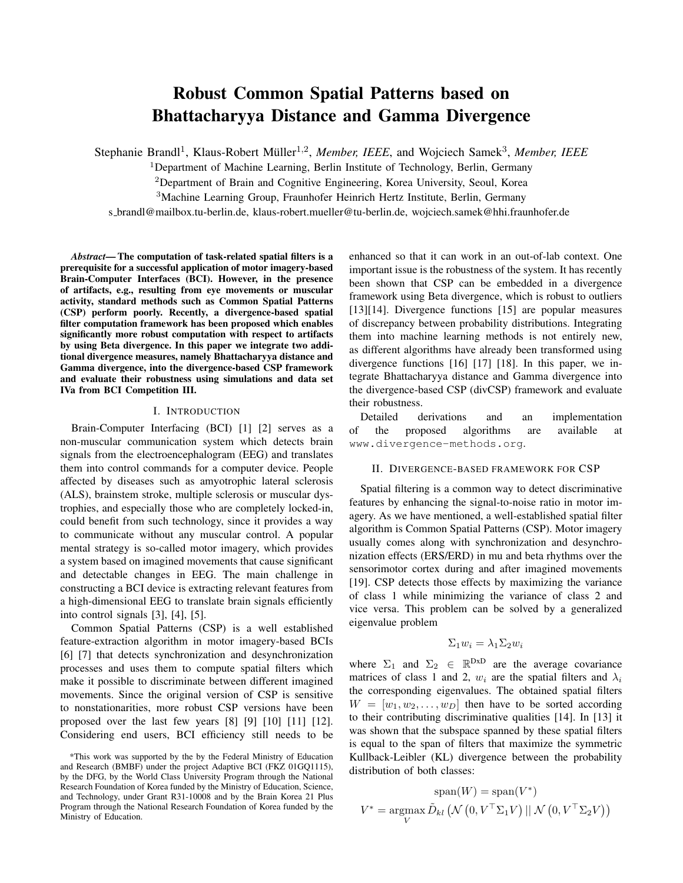# Robust Common Spatial Patterns based on Bhattacharyya Distance and Gamma Divergence

Stephanie Brandl<sup>1</sup>, Klaus-Robert Müller<sup>1,2</sup>, Member, IEEE, and Wojciech Samek<sup>3</sup>, Member, IEEE

<sup>1</sup>Department of Machine Learning, Berlin Institute of Technology, Berlin, Germany

<sup>2</sup>Department of Brain and Cognitive Engineering, Korea University, Seoul, Korea

<sup>3</sup>Machine Learning Group, Fraunhofer Heinrich Hertz Institute, Berlin, Germany

s brandl@mailbox.tu-berlin.de, klaus-robert.mueller@tu-berlin.de, wojciech.samek@hhi.fraunhofer.de

*Abstract*— The computation of task-related spatial filters is a prerequisite for a successful application of motor imagery-based Brain-Computer Interfaces (BCI). However, in the presence of artifacts, e.g., resulting from eye movements or muscular activity, standard methods such as Common Spatial Patterns (CSP) perform poorly. Recently, a divergence-based spatial filter computation framework has been proposed which enables significantly more robust computation with respect to artifacts by using Beta divergence. In this paper we integrate two additional divergence measures, namely Bhattacharyya distance and Gamma divergence, into the divergence-based CSP framework and evaluate their robustness using simulations and data set IVa from BCI Competition III.

#### I. INTRODUCTION

Brain-Computer Interfacing (BCI) [1] [2] serves as a non-muscular communication system which detects brain signals from the electroencephalogram (EEG) and translates them into control commands for a computer device. People affected by diseases such as amyotrophic lateral sclerosis (ALS), brainstem stroke, multiple sclerosis or muscular dystrophies, and especially those who are completely locked-in, could benefit from such technology, since it provides a way to communicate without any muscular control. A popular mental strategy is so-called motor imagery, which provides a system based on imagined movements that cause significant and detectable changes in EEG. The main challenge in constructing a BCI device is extracting relevant features from a high-dimensional EEG to translate brain signals efficiently into control signals [3], [4], [5].

Common Spatial Patterns (CSP) is a well established feature-extraction algorithm in motor imagery-based BCIs [6] [7] that detects synchronization and desynchronization processes and uses them to compute spatial filters which make it possible to discriminate between different imagined movements. Since the original version of CSP is sensitive to nonstationarities, more robust CSP versions have been proposed over the last few years [8] [9] [10] [11] [12]. Considering end users, BCI efficiency still needs to be enhanced so that it can work in an out-of-lab context. One important issue is the robustness of the system. It has recently been shown that CSP can be embedded in a divergence framework using Beta divergence, which is robust to outliers [13][14]. Divergence functions [15] are popular measures of discrepancy between probability distributions. Integrating them into machine learning methods is not entirely new, as different algorithms have already been transformed using divergence functions [16] [17] [18]. In this paper, we integrate Bhattacharyya distance and Gamma divergence into the divergence-based CSP (divCSP) framework and evaluate their robustness.

Detailed derivations and an implementation of the proposed algorithms are available at <www.divergence-methods.org>.

#### II. DIVERGENCE-BASED FRAMEWORK FOR CSP

Spatial filtering is a common way to detect discriminative features by enhancing the signal-to-noise ratio in motor imagery. As we have mentioned, a well-established spatial filter algorithm is Common Spatial Patterns (CSP). Motor imagery usually comes along with synchronization and desynchronization effects (ERS/ERD) in mu and beta rhythms over the sensorimotor cortex during and after imagined movements [19]. CSP detects those effects by maximizing the variance of class 1 while minimizing the variance of class 2 and vice versa. This problem can be solved by a generalized eigenvalue problem

# $\Sigma_1w_i = \lambda_1\Sigma_2w_i$

where  $\Sigma_1$  and  $\Sigma_2 \in \mathbb{R}^{DxD}$  are the average covariance matrices of class 1 and 2,  $w_i$  are the spatial filters and  $\lambda_i$ the corresponding eigenvalues. The obtained spatial filters  $W = [w_1, w_2, \dots, w_D]$  then have to be sorted according to their contributing discriminative qualities [14]. In [13] it was shown that the subspace spanned by these spatial filters is equal to the span of filters that maximize the symmetric Kullback-Leibler (KL) divergence between the probability distribution of both classes:

$$
\text{span}(W) = \text{span}(V^*)
$$
  

$$
V^* = \underset{V}{\text{argmax}} \tilde{D}_{kl} (\mathcal{N} (0, V^\top \Sigma_1 V) || \mathcal{N} (0, V^\top \Sigma_2 V))
$$

<sup>\*</sup>This work was supported by the by the Federal Ministry of Education and Research (BMBF) under the project Adaptive BCI (FKZ 01GQ1115), by the DFG, by the World Class University Program through the National Research Foundation of Korea funded by the Ministry of Education, Science, and Technology, under Grant R31-10008 and by the Brain Korea 21 Plus Program through the National Research Foundation of Korea funded by the Ministry of Education.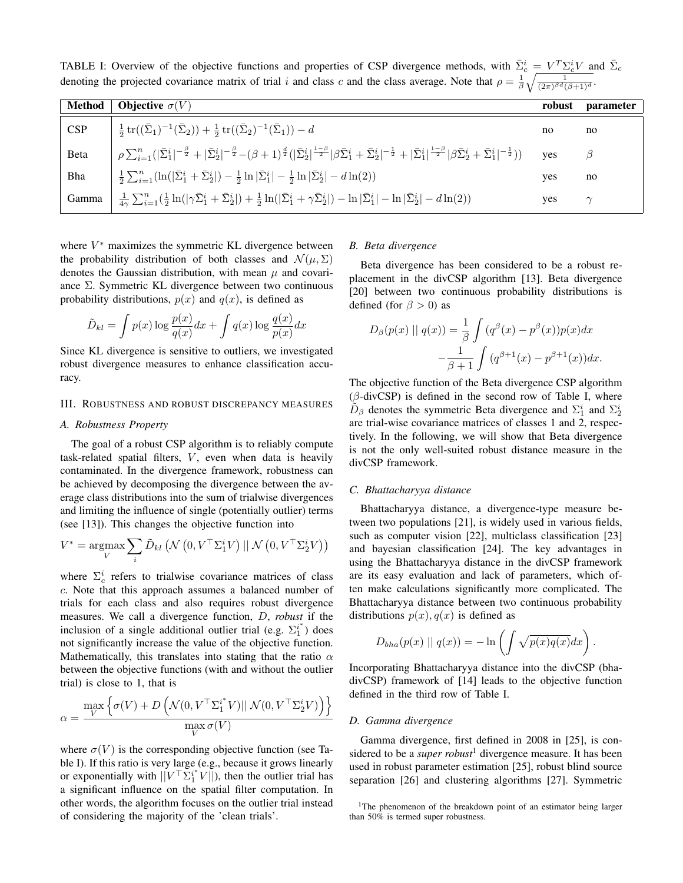<span id="page-1-0"></span>TABLE I: Overview of the objective functions and properties of CSP divergence methods, with  $\bar{\Sigma}_c^i = V^T \Sigma_c^i V$  and  $\bar{\Sigma}_c$ denoting the projected covariance matrix of trial i and class c and the class average. Note that  $\rho = \frac{1}{\beta} \sqrt{\frac{1}{(2\pi)^{\beta d} (\beta+1)^{d}}}$ .

| Method | <b>Objective</b> $\sigma(V)$                                                                                                                                                                                                                                                                                         | robust | <i>parameter</i> |
|--------|----------------------------------------------------------------------------------------------------------------------------------------------------------------------------------------------------------------------------------------------------------------------------------------------------------------------|--------|------------------|
| CSP    | $\frac{1}{2}\operatorname{tr}((\bar{\Sigma}_1)^{-1}(\bar{\Sigma}_2)) + \frac{1}{2}\operatorname{tr}((\bar{\Sigma}_2)^{-1}(\bar{\Sigma}_1)) - d$                                                                                                                                                                      | no     | no               |
| Beta   | $\rho\sum_{i=1}^n( \bar{\Sigma}_1^i ^{-\frac{\beta}{2}}+ \bar{\Sigma}_2^i ^{-\frac{\beta}{2}}-(\beta+1)^{\frac{d}{2}}( \bar{\Sigma}_2^i ^{\frac{1-\beta}{2}} \beta\bar{\Sigma}_1^i+\bar{\Sigma}_2^i ^{-\frac{1}{2}}+ \bar{\Sigma}_1^i ^{\frac{1-\beta}{2}} \beta\bar{\Sigma}_2^i+\bar{\Sigma}_1^i ^{-\frac{1}{2}}))$ | ves    | B                |
| Bha    | $\frac{1}{2}\sum_{i=1}^n(\ln( \bar{\Sigma}_1^i+\bar{\Sigma}_2^i )-\frac{1}{2}\ln \bar{\Sigma}_1^i -\frac{1}{2}\ln \bar{\Sigma}_2^i -d\ln(2))$                                                                                                                                                                        | ves    | no               |
| Gamma  | $ \ \tfrac{1}{4\gamma} \sum_{i=1}^n (\tfrac{1}{2} \ln( \gamma \bar{\Sigma}_1^i + \bar{\Sigma}_2^i ) + \tfrac{1}{2} \ln( \bar{\Sigma}_1^i + \gamma \bar{\Sigma}_2^i ) - \ln \bar{\Sigma}_1^i  - \ln \bar{\Sigma}_2^i  - d\ln(2))$                                                                                     | yes    | $\gamma$         |

where  $V^*$  maximizes the symmetric KL divergence between the probability distribution of both classes and  $\mathcal{N}(\mu, \Sigma)$ denotes the Gaussian distribution, with mean  $\mu$  and covariance  $\Sigma$ . Symmetric KL divergence between two continuous probability distributions,  $p(x)$  and  $q(x)$ , is defined as

$$
\tilde{D}_{kl} = \int p(x) \log \frac{p(x)}{q(x)} dx + \int q(x) \log \frac{q(x)}{p(x)} dx
$$

Since KL divergence is sensitive to outliers, we investigated robust divergence measures to enhance classification accuracy.

### III. ROBUSTNESS AND ROBUST DISCREPANCY MEASURES

# <span id="page-1-2"></span>*A. Robustness Property*

The goal of a robust CSP algorithm is to reliably compute task-related spatial filters,  $V$ , even when data is heavily contaminated. In the divergence framework, robustness can be achieved by decomposing the divergence between the average class distributions into the sum of trialwise divergences and limiting the influence of single (potentially outlier) terms (see [13]). This changes the objective function into

$$
V^* = \underset{V}{\text{argmax}} \sum_i \tilde{D}_{kl} (\mathcal{N} \left(0, V^\top \Sigma_1^i V\right) || \mathcal{N} \left(0, V^\top \Sigma_2^i V\right))
$$

where  $\Sigma_c^i$  refers to trialwise covariance matrices of class c. Note that this approach assumes a balanced number of trials for each class and also requires robust divergence measures. We call a divergence function, D, *robust* if the inclusion of a single additional outlier trial (e.g.  $\Sigma_1^{i^*}$ ) does not significantly increase the value of the objective function. Mathematically, this translates into stating that the ratio  $\alpha$ between the objective functions (with and without the outlier trial) is close to 1, that is

$$
\alpha = \frac{\max\limits_{V} \left\{ \sigma(V) + D\left( \mathcal{N}(0, V^\top \Sigma_1^{i^*} V) || \mathcal{N}(0, V^\top \Sigma_2^{i} V) \right) \right\}}{\max\limits_{V} \sigma(V)}
$$

where  $\sigma(V)$  is the corresponding objective function (see Table [I\)](#page-1-0). If this ratio is very large (e.g., because it grows linearly or exponentially with  $\|\tilde{V}^\top \Sigma_1^{i^*} V \|$ , then the outlier trial has a significant influence on the spatial filter computation. In other words, the algorithm focuses on the outlier trial instead of considering the majority of the 'clean trials'.

#### *B. Beta divergence*

Beta divergence has been considered to be a robust replacement in the divCSP algorithm [13]. Beta divergence [20] between two continuous probability distributions is defined (for  $\beta > 0$ ) as

$$
D_{\beta}(p(x) \mid q(x)) = \frac{1}{\beta} \int (q^{\beta}(x) - p^{\beta}(x))p(x)dx
$$

$$
-\frac{1}{\beta+1} \int (q^{\beta+1}(x) - p^{\beta+1}(x))dx.
$$

The objective function of the Beta divergence CSP algorithm  $(\beta$ -divCSP) is defined in the second row of Table [I,](#page-1-0) where  $\tilde{D}_{\beta}$  denotes the symmetric Beta divergence and  $\Sigma_1^i$  and  $\Sigma_2^i$ are trial-wise covariance matrices of classes 1 and 2, respectively. In the following, we will show that Beta divergence is not the only well-suited robust distance measure in the divCSP framework.

#### *C. Bhattacharyya distance*

Bhattacharyya distance, a divergence-type measure between two populations [21], is widely used in various fields, such as computer vision [22], multiclass classification [23] and bayesian classification [24]. The key advantages in using the Bhattacharyya distance in the divCSP framework are its easy evaluation and lack of parameters, which often make calculations significantly more complicated. The Bhattacharyya distance between two continuous probability distributions  $p(x)$ ,  $q(x)$  is defined as

$$
D_{bha}(p(x) \mid q(x)) = -\ln\left(\int \sqrt{p(x)q(x)}dx\right)
$$

.

Incorporating Bhattacharyya distance into the divCSP (bhadivCSP) framework of [14] leads to the objective function defined in the third row of Table [I.](#page-1-0)

#### *D. Gamma divergence*

Gamma divergence, first defined in 2008 in [25], is considered to be a *super robust*<sup>[1](#page-1-1)</sup> divergence measure. It has been used in robust parameter estimation [25], robust blind source separation [26] and clustering algorithms [27]. Symmetric

<span id="page-1-1"></span><sup>&</sup>lt;sup>1</sup>The phenomenon of the breakdown point of an estimator being larger than 50% is termed super robustness.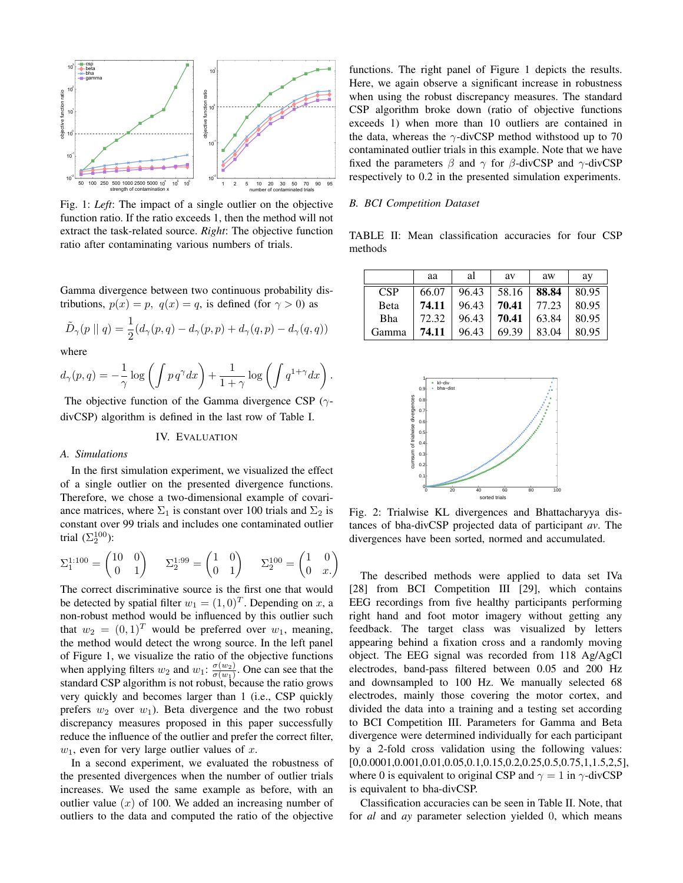<span id="page-2-0"></span>

Fig. 1: *Left*: The impact of a single outlier on the objective function ratio. If the ratio exceeds 1, then the method will not extract the task-related source. *Right*: The objective function ratio after contaminating various numbers of trials.

Gamma divergence between two continuous probability distributions,  $p(x) = p$ ,  $q(x) = q$ , is defined (for  $\gamma > 0$ ) as

$$
\tilde{D}_{\gamma}(p \mid q) = \frac{1}{2}(d_{\gamma}(p,q) - d_{\gamma}(p,p) + d_{\gamma}(q,p) - d_{\gamma}(q,q))
$$

where

$$
d_{\gamma}(p,q) = -\frac{1}{\gamma} \log \left( \int p \, q^{\gamma} dx \right) + \frac{1}{1+\gamma} \log \left( \int q^{1+\gamma} dx \right).
$$

The objective function of the Gamma divergence CSP ( $\gamma$ divCSP) algorithm is defined in the last row of Table [I.](#page-1-0)

#### IV. EVALUATION

#### *A. Simulations*

In the first simulation experiment, we visualized the effect of a single outlier on the presented divergence functions. Therefore, we chose a two-dimensional example of covariance matrices, where  $\Sigma_1$  is constant over 100 trials and  $\Sigma_2$  is constant over 99 trials and includes one contaminated outlier trial  $(\Sigma_2^{100})$ :

$$
\Sigma_1^{1:100} = \begin{pmatrix} 10 & 0 \\ 0 & 1 \end{pmatrix} \qquad \Sigma_2^{1:99} = \begin{pmatrix} 1 & 0 \\ 0 & 1 \end{pmatrix} \qquad \Sigma_2^{100} = \begin{pmatrix} 1 & 0 \\ 0 & x. \end{pmatrix}
$$

The correct discriminative source is the first one that would be detected by spatial filter  $w_1 = (1, 0)^T$ . Depending on x, a non-robust method would be influenced by this outlier such that  $w_2 = (0, 1)^T$  would be preferred over  $w_1$ , meaning, the method would detect the wrong source. In the left panel of Figure [1,](#page-2-0) we visualize the ratio of the objective functions when applying filters  $w_2$  and  $w_1$ :  $\frac{\sigma(w_2)}{\sigma(w_1)}$  $\frac{\sigma(w_2)}{\sigma(w_1)}$ . One can see that the standard CSP algorithm is not robust, because the ratio grows very quickly and becomes larger than 1 (i.e., CSP quickly prefers  $w_2$  over  $w_1$ ). Beta divergence and the two robust discrepancy measures proposed in this paper successfully reduce the influence of the outlier and prefer the correct filter,  $w_1$ , even for very large outlier values of x.

In a second experiment, we evaluated the robustness of the presented divergences when the number of outlier trials increases. We used the same example as before, with an outlier value  $(x)$  of 100. We added an increasing number of outliers to the data and computed the ratio of the objective functions. The right panel of Figure [1](#page-2-0) depicts the results. Here, we again observe a significant increase in robustness when using the robust discrepancy measures. The standard CSP algorithm broke down (ratio of objective functions exceeds 1) when more than 10 outliers are contained in the data, whereas the  $\gamma$ -divCSP method withstood up to 70 contaminated outlier trials in this example. Note that we have fixed the parameters  $\beta$  and  $\gamma$  for  $\beta$ -divCSP and  $\gamma$ -divCSP respectively to 0.2 in the presented simulation experiments.

## *B. BCI Competition Dataset*

<span id="page-2-1"></span>TABLE II: Mean classification accuracies for four CSP methods

|              | aa    | al    | av    | aw    | ay    |
|--------------|-------|-------|-------|-------|-------|
| <b>CSP</b>   | 66.07 | 96.43 | 58.16 | 88.84 | 80.95 |
| <b>B</b> eta | 74.11 | 96.43 | 70.41 | 77.23 | 80.95 |
| Bha          | 72.32 | 96.43 | 70.41 | 63.84 | 80.95 |
| Gamma        | 74.11 | 96.43 | 69.39 | 83.04 | 80.95 |

<span id="page-2-2"></span>

Fig. 2: Trialwise KL divergences and Bhattacharyya distances of bha-divCSP projected data of participant *av*. The divergences have been sorted, normed and accumulated.

The described methods were applied to data set IVa [28] from BCI Competition III [29], which contains EEG recordings from five healthy participants performing right hand and foot motor imagery without getting any feedback. The target class was visualized by letters appearing behind a fixation cross and a randomly moving object. The EEG signal was recorded from 118 Ag/AgCl electrodes, band-pass filtered between 0.05 and 200 Hz and downsampled to 100 Hz. We manually selected 68 electrodes, mainly those covering the motor cortex, and divided the data into a training and a testing set according to BCI Competition III. Parameters for Gamma and Beta divergence were determined individually for each participant by a 2-fold cross validation using the following values: [0,0.0001,0.001,0.01,0.05,0.1,0.15,0.2,0.25,0.5,0.75,1,1.5,2,5], where 0 is equivalent to original CSP and  $\gamma = 1$  in  $\gamma$ -divCSP is equivalent to bha-divCSP.

Classification accuracies can be seen in Table [II.](#page-2-1) Note, that for *al* and *ay* parameter selection yielded 0, which means